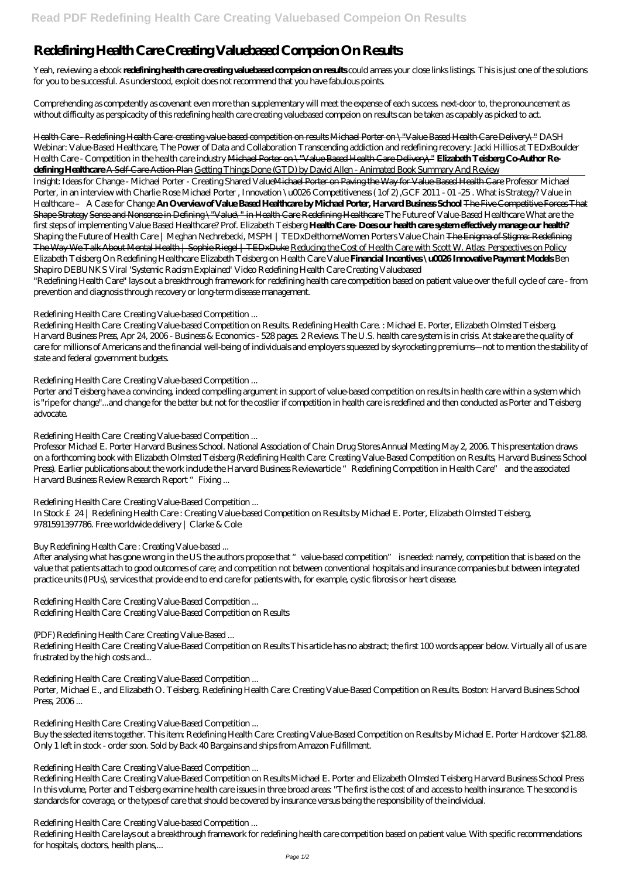# **Redefining Health Care Creating Valuebased Compeion On Results**

Yeah, reviewing a ebook **redefining health care creating valuebased compeion on results** could amass your close links listings. This is just one of the solutions for you to be successful. As understood, exploit does not recommend that you have fabulous points.

Comprehending as competently as covenant even more than supplementary will meet the expense of each success. next-door to, the pronouncement as without difficulty as perspicacity of this redefining health care creating valuebased compeion on results can be taken as capably as picked to act.

Health Care - Redefining Health Care: creating value based competition on results Michael Porter on \"Value Based Health Care Delivery\" *DASH Webinar: Value-Based Healthcare, The Power of Data and Collaboration Transcending addiction and redefining recovery: Jacki Hillios at TEDxBoulder* Health Care - Competition in the health care industry Michael Porter on \"Value Based Health Care Delivery\" **Elizabeth Teisberg Co-Author Redefining Healthcare** A Self-Care Action Plan Getting Things Done (GTD) by David Allen - Animated Book Summary And Review

Professor Michael E. Porter Harvard Business School. National Association of Chain Drug Stores Annual Meeting May 2, 2006. This presentation draws on a forthcoming book with Elizabeth Olmsted Teisberg (Redefining Health Care: Creating Value-Based Competition on Results, Harvard Business School Press). Earlier publications about the work include the Harvard Business Reviewarticle "Redefining Competition in Health Care" and the associated Harvard Business Review Research Report "Fixing ...

Insight: Ideas for Change - Michael Porter - Creating Shared ValueMichael Porter on Paving the Way for Value-Based Health Care *Professor Michael Porter, in an interview with Charlie Rose Michael Porter , Innovation \u0026 Competitiveness ( 1of 2) ,GCF 2011 - 01 -25 . What is Strategy? Value in Healthcare – A Case for Change* **An Overview of Value Based Healthcare by Michael Porter, Harvard Business School** The Five Competitive Forces That Shape Strategy Sense and Nonsense in Defining \"Value\" in Health Care Redefining Healthcare *The Future of Value-Based Healthcare* What are the first steps of implementing Value Based Healthcare? Prof. Elizabeth Teisberg **Health Care- Does our health care system effectively manage our health?** *Shaping the Future of Health Care | Meghan Nechrebecki, MSPH | TEDxDelthorneWomen Porters Value Chain* The Enigma of Stigma: Redefining The Way We Talk About Mental Health | Sophie Riegel | TEDxDuke Reducing the Cost of Health Care with Scott W. Atlas: Perspectives on Policy *Elizabeth Teisberg On Redefining Healthcare* Elizabeth Teisberg on Health Care Value **Financial Incentives \u0026 Innovative Payment Models** *Ben Shapiro DEBUNKS Viral 'Systemic Racism Explained' Video Redefining Health Care Creating Valuebased*

"Redefining Health Care" lays out a breakthrough framework for redefining health care competition based on patient value over the full cycle of care - from prevention and diagnosis through recovery or long-term disease management.

Porter, Michael E., and Elizabeth O. Teisberg. Redefining Health Care: Creating Value-Based Competition on Results. Boston: Harvard Business School Press, 2006...

# *Redefining Health Care: Creating Value-based Competition ...*

Redefining Health Care: Creating Value-based Competition on Results. Redefining Health Care. : Michael E. Porter, Elizabeth Olmsted Teisberg. Harvard Business Press, Apr 24, 2006 - Business & Economics - 528 pages. 2 Reviews. The U.S. health care system is in crisis. At stake are the quality of care for millions of Americans and the financial well-being of individuals and employers squeezed by skyrocketing premiums—not to mention the stability of state and federal government budgets.

### *Redefining Health Care: Creating Value-based Competition ...*

Porter and Teisberg have a convincing, indeed compelling argument in support of value-based competition on results in health care within a system which is "ripe for change"...and change for the better but not for the costlier if competition in health care is redefined and then conducted as Porter and Teisberg advocate.

# *Redefining Health Care: Creating Value-based Competition ...*

### *Redefining Health Care: Creating Value-Based Competition ...*

In Stock £24 | Redefining Health Care : Creating Value-based Competition on Results by Michael E. Porter, Elizabeth Olmsted Teisberg, 9781591397786. Free worldwide delivery | Clarke & Cole

# *Buy Redefining Health Care : Creating Value-based ...*

After analysing what has gone wrong in the US the authors propose that "value-based competition" is needed: namely, competition that is based on the value that patients attach to good outcomes of care; and competition not between conventional hospitals and insurance companies but between integrated practice units (IPUs), services that provide end to end care for patients with, for example, cystic fibrosis or heart disease.

*Redefining Health Care: Creating Value-Based Competition ...* Redefining Health Care: Creating Value-Based Competition on Results

### *(PDF) Redefining Health Care: Creating Value-Based ...*

Redefining Health Care: Creating Value-Based Competition on Results This article has no abstract; the first 100 words appear below. Virtually all of us are frustrated by the high costs and...

#### *Redefining Health Care: Creating Value-Based Competition ...*

#### *Redefining Health Care: Creating Value-Based Competition ...*

Buy the selected items together. This item: Redefining Health Care: Creating Value-Based Competition on Results by Michael E. Porter Hardcover \$21.88. Only 1 left in stock - order soon. Sold by Back 40 Bargains and ships from Amazon Fulfillment.

#### *Redefining Health Care: Creating Value-Based Competition ...*

Redefining Health Care: Creating Value-Based Competition on Results Michael E. Porter and Elizabeth Olmsted Teisberg Harvard Business School Press In this volume, Porter and Teisberg examine health care issues in three broad areas: "The first is the cost of and access to health insurance. The second is standards for coverage, or the types of care that should be covered by insurance versus being the responsibility of the individual.

#### *Redefining Health Care: Creating Value-based Competition ...*

Redefining Health Care lays out a breakthrough framework for redefining health care competition based on patient value. With specific recommendations for hospitals, doctors, health plans,...